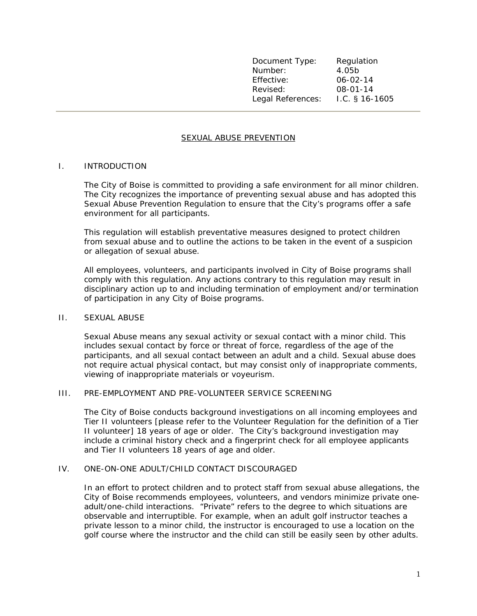Document Type: Regulation Number: 4.05b Effective: 06-02-14 Revised: 08-01-14 Legal References: I.C. § 16-1605

## SEXUAL ABUSE PREVENTION

### I. INTRODUCTION

The City of Boise is committed to providing a safe environment for all minor children. The City recognizes the importance of preventing sexual abuse and has adopted this Sexual Abuse Prevention Regulation to ensure that the City's programs offer a safe environment for all participants.

This regulation will establish preventative measures designed to protect children from sexual abuse and to outline the actions to be taken in the event of a suspicion or allegation of sexual abuse.

All employees, volunteers, and participants involved in City of Boise programs shall comply with this regulation. Any actions contrary to this regulation may result in disciplinary action up to and including termination of employment and/or termination of participation in any City of Boise programs.

### II. SEXUAL ABUSE

Sexual Abuse means any sexual activity or sexual contact with a minor child. This includes sexual contact by force or threat of force, regardless of the age of the participants, and all sexual contact between an adult and a child. Sexual abuse does not require actual physical contact, but may consist only of inappropriate comments, viewing of inappropriate materials or voyeurism.

### III. PRE-EMPLOYMENT AND PRE-VOLUNTEER SERVICE SCREENING

The City of Boise conducts background investigations on all incoming employees and Tier II volunteers [please refer to the Volunteer Regulation for the definition of a Tier II volunteer] 18 years of age or older. The City's background investigation may include a criminal history check and a fingerprint check for all employee applicants and Tier II volunteers 18 years of age and older.

### IV. ONE-ON-ONE ADULT/CHILD CONTACT DISCOURAGED

In an effort to protect children and to protect staff from sexual abuse allegations, the City of Boise recommends employees, volunteers, and vendors minimize private oneadult/one-child interactions. "Private" refers to the degree to which situations are observable and interruptible. For example, when an adult golf instructor teaches a private lesson to a minor child, the instructor is encouraged to use a location on the golf course where the instructor and the child can still be easily seen by other adults.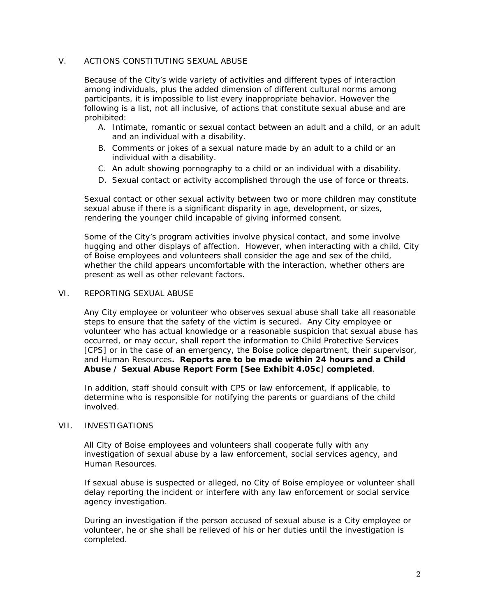# V. ACTIONS CONSTITUTING SEXUAL ABUSE

Because of the City's wide variety of activities and different types of interaction among individuals, plus the added dimension of different cultural norms among participants, it is impossible to list every inappropriate behavior. However the following is a list, not all inclusive, of actions that constitute sexual abuse and are prohibited:

- A. Intimate, romantic or sexual contact between an adult and a child, or an adult and an individual with a disability.
- B. Comments or jokes of a sexual nature made by an adult to a child or an individual with a disability.
- C. An adult showing pornography to a child or an individual with a disability.
- D. Sexual contact or activity accomplished through the use of force or threats.

Sexual contact or other sexual activity between two or more children may constitute sexual abuse if there is a significant disparity in age, development, or sizes, rendering the younger child incapable of giving informed consent.

Some of the City's program activities involve physical contact, and some involve hugging and other displays of affection. However, when interacting with a child, City of Boise employees and volunteers shall consider the age and sex of the child, whether the child appears uncomfortable with the interaction, whether others are present as well as other relevant factors.

## VI. REPORTING SEXUAL ABUSE

Any City employee or volunteer who observes sexual abuse shall take all reasonable steps to ensure that the safety of the victim is secured. Any City employee or volunteer who has actual knowledge or a reasonable suspicion that sexual abuse has occurred, or may occur, shall report the information to Child Protective Services [CPS] or in the case of an emergency, the Boise police department, their supervisor, and Human Resources**. Reports are to be made within 24 hours and a Child Abuse / Sexual Abuse Report Form [See Exhibit 4.05c**] **completed**.

In addition, staff should consult with CPS or law enforcement, if applicable, to determine who is responsible for notifying the parents or guardians of the child involved.

## VII. INVESTIGATIONS

All City of Boise employees and volunteers shall cooperate fully with any investigation of sexual abuse by a law enforcement, social services agency, and Human Resources.

If sexual abuse is suspected or alleged, no City of Boise employee or volunteer shall delay reporting the incident or interfere with any law enforcement or social service agency investigation.

During an investigation if the person accused of sexual abuse is a City employee or volunteer, he or she shall be relieved of his or her duties until the investigation is completed.